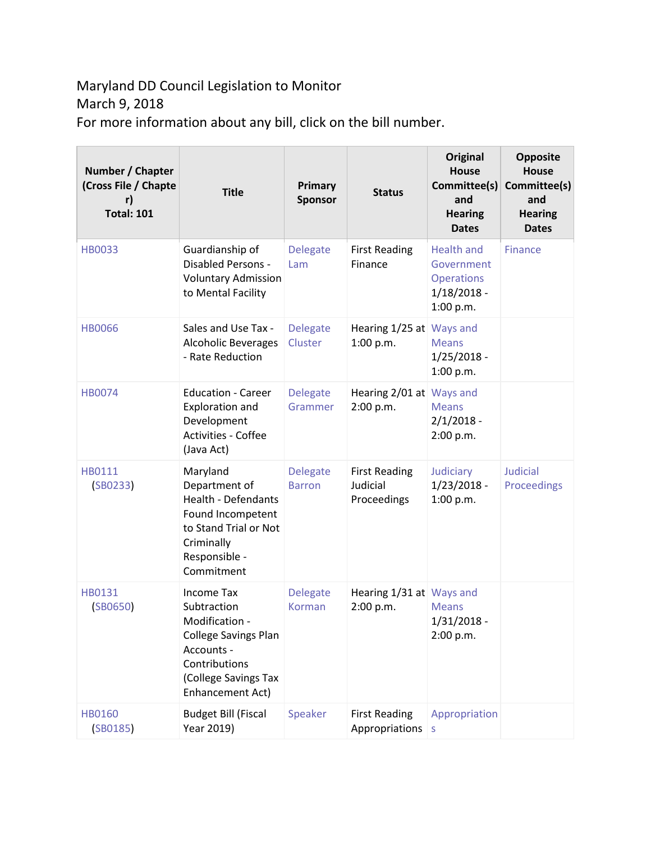## Maryland DD Council Legislation to Monitor March 9, 2018 For more information about any bill, click on the bill number.

| Number / Chapter<br>(Cross File / Chapte<br><b>Total: 101</b> | <b>Title</b>                                                                                                                                                 | Primary<br><b>Sponsor</b>        | <b>Status</b>                                   | <b>Original</b><br><b>House</b><br>Committee(s)<br>and<br><b>Hearing</b><br><b>Dates</b> | <b>Opposite</b><br><b>House</b><br>Committee(s)<br>and<br><b>Hearing</b><br><b>Dates</b> |
|---------------------------------------------------------------|--------------------------------------------------------------------------------------------------------------------------------------------------------------|----------------------------------|-------------------------------------------------|------------------------------------------------------------------------------------------|------------------------------------------------------------------------------------------|
| <b>HB0033</b>                                                 | Guardianship of<br><b>Disabled Persons -</b><br><b>Voluntary Admission</b><br>to Mental Facility                                                             | <b>Delegate</b><br>Lam           | <b>First Reading</b><br>Finance                 | <b>Health and</b><br>Government<br><b>Operations</b><br>$1/18/2018 -$<br>1:00 p.m.       | Finance                                                                                  |
| <b>HB0066</b>                                                 | Sales and Use Tax -<br><b>Alcoholic Beverages</b><br>- Rate Reduction                                                                                        | <b>Delegate</b><br>Cluster       | Hearing 1/25 at Ways and<br>1:00 p.m.           | <b>Means</b><br>$1/25/2018 -$<br>1:00 p.m.                                               |                                                                                          |
| <b>HB0074</b>                                                 | <b>Education - Career</b><br><b>Exploration and</b><br>Development<br><b>Activities - Coffee</b><br>(Java Act)                                               | <b>Delegate</b><br>Grammer       | Hearing 2/01 at Ways and<br>2:00 p.m.           | <b>Means</b><br>$2/1/2018 -$<br>2:00 p.m.                                                |                                                                                          |
| HB0111<br>(SB0233)                                            | Maryland<br>Department of<br><b>Health - Defendants</b><br>Found Incompetent<br>to Stand Trial or Not<br>Criminally<br>Responsible -<br>Commitment           | <b>Delegate</b><br><b>Barron</b> | <b>First Reading</b><br>Judicial<br>Proceedings | Judiciary<br>$1/23/2018 -$<br>1:00 p.m.                                                  | <b>Judicial</b><br>Proceedings                                                           |
| HB0131<br>(SB0650)                                            | <b>Income Tax</b><br>Subtraction<br>Modification -<br><b>College Savings Plan</b><br>Accounts -<br>Contributions<br>(College Savings Tax<br>Enhancement Act) | <b>Delegate</b><br>Korman        | Hearing 1/31 at Ways and<br>2:00 p.m.           | <b>Means</b><br>$1/31/2018 -$<br>2:00 p.m.                                               |                                                                                          |
| <b>HB0160</b><br>(SB0185)                                     | <b>Budget Bill (Fiscal</b><br>Year 2019)                                                                                                                     | Speaker                          | <b>First Reading</b><br>Appropriations          | Appropriation<br>S                                                                       |                                                                                          |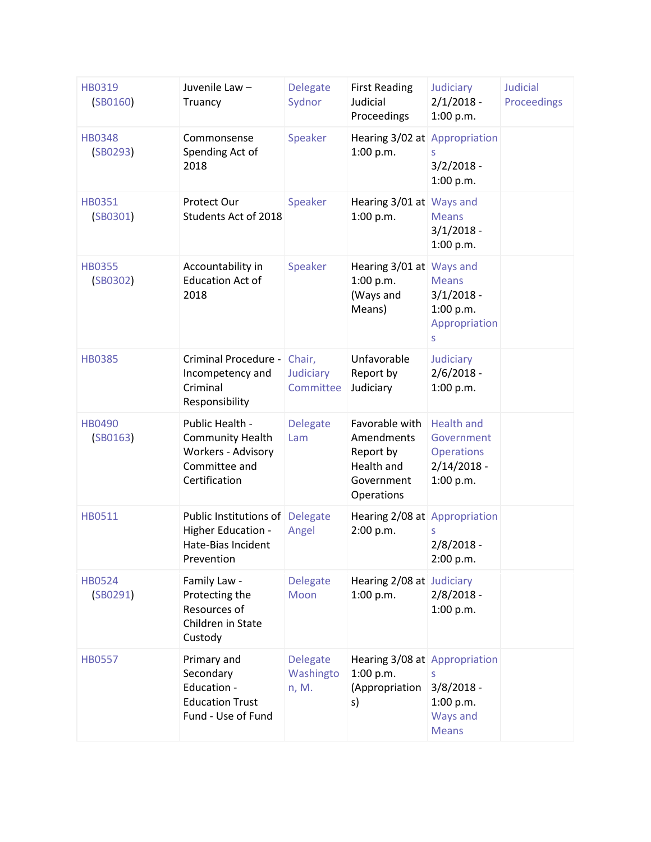| HB0319<br>(SB0160)        | Juvenile Law-<br>Truancy                                                                           | <b>Delegate</b><br>Sydnor             | <b>First Reading</b><br>Judicial<br>Proceedings                                     | Judiciary<br>$2/1/2018 -$<br>1:00 p.m.                                             | <b>Judicial</b><br>Proceedings |
|---------------------------|----------------------------------------------------------------------------------------------------|---------------------------------------|-------------------------------------------------------------------------------------|------------------------------------------------------------------------------------|--------------------------------|
| <b>HB0348</b><br>(SB0293) | Commonsense<br>Spending Act of<br>2018                                                             | Speaker                               | Hearing 3/02 at Appropriation<br>1:00 p.m.                                          | S<br>$3/2/2018 -$<br>1:00 p.m.                                                     |                                |
| HB0351<br>(SB0301)        | Protect Our<br>Students Act of 2018                                                                | Speaker                               | Hearing 3/01 at Ways and<br>1:00 p.m.                                               | <b>Means</b><br>$3/1/2018 -$<br>1:00 p.m.                                          |                                |
| <b>HB0355</b><br>(SB0302) | Accountability in<br><b>Education Act of</b><br>2018                                               | Speaker                               | Hearing 3/01 at Ways and<br>1:00 p.m.<br>(Ways and<br>Means)                        | <b>Means</b><br>$3/1/2018 -$<br>1:00 p.m.<br>Appropriation<br>S                    |                                |
| <b>HB0385</b>             | Criminal Procedure -<br>Incompetency and<br>Criminal<br>Responsibility                             | Chair,<br>Judiciary<br>Committee      | Unfavorable<br>Report by<br>Judiciary                                               | Judiciary<br>$2/6/2018 -$<br>1:00 p.m.                                             |                                |
| <b>HB0490</b><br>(SB0163) | Public Health -<br><b>Community Health</b><br>Workers - Advisory<br>Committee and<br>Certification | <b>Delegate</b><br>Lam                | Favorable with<br>Amendments<br>Report by<br>Health and<br>Government<br>Operations | <b>Health and</b><br>Government<br><b>Operations</b><br>$2/14/2018 -$<br>1:00 p.m. |                                |
| HB0511                    | Public Institutions of<br>Higher Education -<br>Hate-Bias Incident<br>Prevention                   | <b>Delegate</b><br>Angel              | Hearing 2/08 at Appropriation<br>2:00 p.m.                                          | $2/8/2018 -$<br>2:00 p.m.                                                          |                                |
| <b>HB0524</b><br>(SB0291) | Family Law -<br>Protecting the<br>Resources of<br>Children in State<br>Custody                     | <b>Delegate</b><br>Moon               | Hearing 2/08 at Judiciary<br>1:00 p.m.                                              | $2/8/2018 -$<br>1:00 p.m.                                                          |                                |
| <b>HB0557</b>             | Primary and<br>Secondary<br>Education -<br><b>Education Trust</b><br>Fund - Use of Fund            | <b>Delegate</b><br>Washingto<br>n, M. | Hearing 3/08 at Appropriation<br>1:00 p.m.<br>(Appropriation<br>s)                  | S<br>$3/8/2018 -$<br>1:00 p.m.<br>Ways and<br><b>Means</b>                         |                                |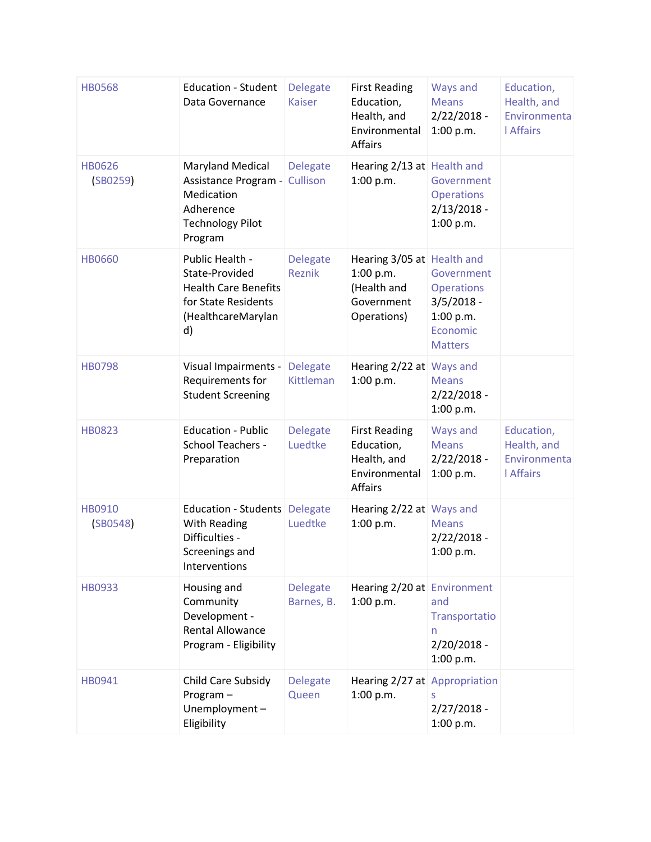| <b>HB0568</b>             | <b>Education - Student</b><br>Data Governance                                                                       | <b>Delegate</b><br><b>Kaiser</b> | <b>First Reading</b><br>Education,<br>Health, and<br>Environmental<br><b>Affairs</b> | Ways and<br><b>Means</b><br>$2/22/2018 -$<br>1:00 p.m.                                     | Education,<br>Health, and<br>Environmenta<br><b>I</b> Affairs |
|---------------------------|---------------------------------------------------------------------------------------------------------------------|----------------------------------|--------------------------------------------------------------------------------------|--------------------------------------------------------------------------------------------|---------------------------------------------------------------|
| <b>HB0626</b><br>(SB0259) | <b>Maryland Medical</b><br>Assistance Program -<br>Medication<br>Adherence<br><b>Technology Pilot</b><br>Program    | <b>Delegate</b><br>Cullison      | Hearing 2/13 at Health and<br>1:00 p.m.                                              | Government<br><b>Operations</b><br>$2/13/2018 -$<br>1:00 p.m.                              |                                                               |
| <b>HB0660</b>             | Public Health -<br>State-Provided<br><b>Health Care Benefits</b><br>for State Residents<br>(HealthcareMarylan<br>d) | <b>Delegate</b><br><b>Reznik</b> | Hearing 3/05 at Health and<br>1:00 p.m.<br>(Health and<br>Government<br>Operations)  | Government<br><b>Operations</b><br>$3/5/2018 -$<br>1:00 p.m.<br>Economic<br><b>Matters</b> |                                                               |
| <b>HB0798</b>             | Visual Impairments -<br>Requirements for<br><b>Student Screening</b>                                                | <b>Delegate</b><br>Kittleman     | Hearing 2/22 at Ways and<br>1:00 p.m.                                                | <b>Means</b><br>$2/22/2018 -$<br>1:00 p.m.                                                 |                                                               |
| <b>HB0823</b>             | <b>Education - Public</b><br><b>School Teachers -</b><br>Preparation                                                | <b>Delegate</b><br>Luedtke       | <b>First Reading</b><br>Education,<br>Health, and<br>Environmental<br><b>Affairs</b> | Ways and<br><b>Means</b><br>$2/22/2018 -$<br>1:00 p.m.                                     | Education,<br>Health, and<br>Environmenta<br><b>I</b> Affairs |
| HB0910<br>(SB0548)        | <b>Education - Students</b><br>With Reading<br>Difficulties -<br>Screenings and<br>Interventions                    | <b>Delegate</b><br>Luedtke       | Hearing 2/22 at Ways and<br>1:00 p.m.                                                | <b>Means</b><br>$2/22/2018 -$<br>1:00 p.m.                                                 |                                                               |
| HB0933                    | Housing and<br>Community<br>Development -<br><b>Rental Allowance</b><br>Program - Eligibility                       | <b>Delegate</b><br>Barnes, B.    | Hearing 2/20 at Environment<br>1:00 p.m.                                             | and<br>Transportatio<br>n<br>$2/20/2018 -$<br>1:00 p.m.                                    |                                                               |
| HB0941                    | Child Care Subsidy<br>Program-<br>Unemployment-<br>Eligibility                                                      | <b>Delegate</b><br>Queen         | Hearing 2/27 at Appropriation<br>1:00 p.m.                                           | S<br>$2/27/2018 -$<br>1:00 p.m.                                                            |                                                               |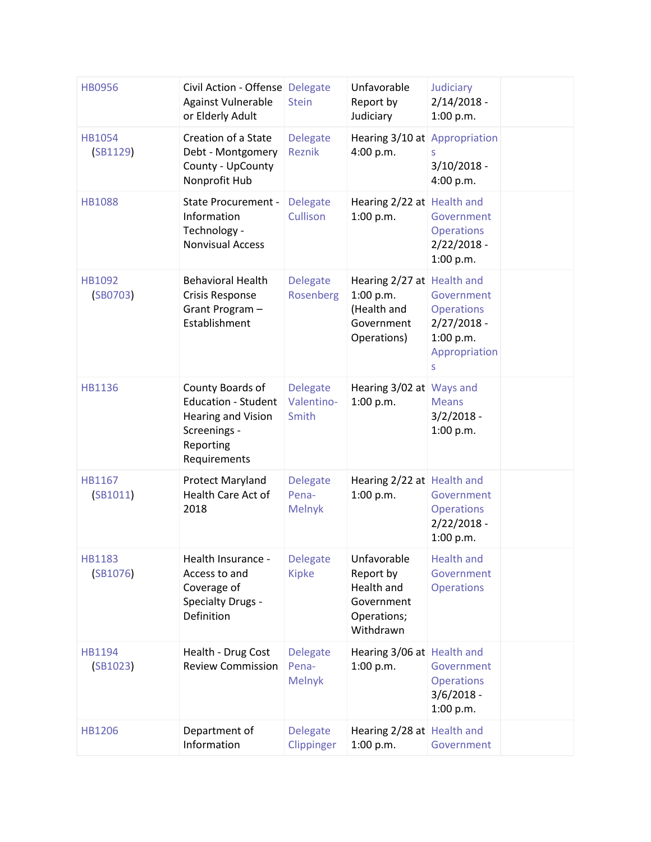| <b>HB0956</b>             | Civil Action - Offense Delegate<br>Against Vulnerable<br>or Elderly Adult                                         | <b>Stein</b>                              | Unfavorable<br>Report by<br>Judiciary                                               | Judiciary<br>$2/14/2018 -$<br>1:00 p.m.                                             |  |
|---------------------------|-------------------------------------------------------------------------------------------------------------------|-------------------------------------------|-------------------------------------------------------------------------------------|-------------------------------------------------------------------------------------|--|
| <b>HB1054</b><br>(SB1129) | Creation of a State<br>Debt - Montgomery<br>County - UpCounty<br>Nonprofit Hub                                    | <b>Delegate</b><br>Reznik                 | Hearing 3/10 at Appropriation<br>4:00 p.m.                                          | S<br>$3/10/2018 -$<br>4:00 p.m.                                                     |  |
| <b>HB1088</b>             | <b>State Procurement -</b><br>Information<br>Technology -<br><b>Nonvisual Access</b>                              | <b>Delegate</b><br>Cullison               | Hearing 2/22 at Health and<br>1:00 p.m.                                             | Government<br><b>Operations</b><br>$2/22/2018 -$<br>1:00 p.m.                       |  |
| HB1092<br>(SB0703)        | <b>Behavioral Health</b><br><b>Crisis Response</b><br>Grant Program-<br>Establishment                             | Delegate<br>Rosenberg                     | Hearing 2/27 at Health and<br>1:00 p.m.<br>(Health and<br>Government<br>Operations) | Government<br><b>Operations</b><br>$2/27/2018 -$<br>1:00 p.m.<br>Appropriation<br>S |  |
| <b>HB1136</b>             | County Boards of<br><b>Education - Student</b><br>Hearing and Vision<br>Screenings -<br>Reporting<br>Requirements | <b>Delegate</b><br>Valentino-<br>Smith    | Hearing 3/02 at Ways and<br>1:00 p.m.                                               | <b>Means</b><br>$3/2/2018 -$<br>1:00 p.m.                                           |  |
| HB1167<br>(SB1011)        | Protect Maryland<br>Health Care Act of<br>2018                                                                    | <b>Delegate</b><br>Pena-<br><b>Melnyk</b> | Hearing 2/22 at Health and<br>1:00 p.m.                                             | Government<br><b>Operations</b><br>$2/22/2018 -$<br>1:00 p.m.                       |  |
| <b>HB1183</b><br>(SB1076) | Health Insurance -<br>Access to and<br>Coverage of<br><b>Specialty Drugs -</b><br>Definition                      | <b>Delegate</b><br><b>Kipke</b>           | Unfavorable<br>Report by<br>Health and<br>Government<br>Operations;<br>Withdrawn    | <b>Health and</b><br>Government<br><b>Operations</b>                                |  |
| HB1194<br>(SB1023)        | Health - Drug Cost<br><b>Review Commission</b>                                                                    | <b>Delegate</b><br>Pena-<br><b>Melnyk</b> | Hearing 3/06 at Health and<br>1:00 p.m.                                             | Government<br><b>Operations</b><br>$3/6/2018 -$<br>1:00 p.m.                        |  |
| <b>HB1206</b>             | Department of<br>Information                                                                                      | <b>Delegate</b><br>Clippinger             | Hearing 2/28 at Health and<br>1:00 p.m.                                             | Government                                                                          |  |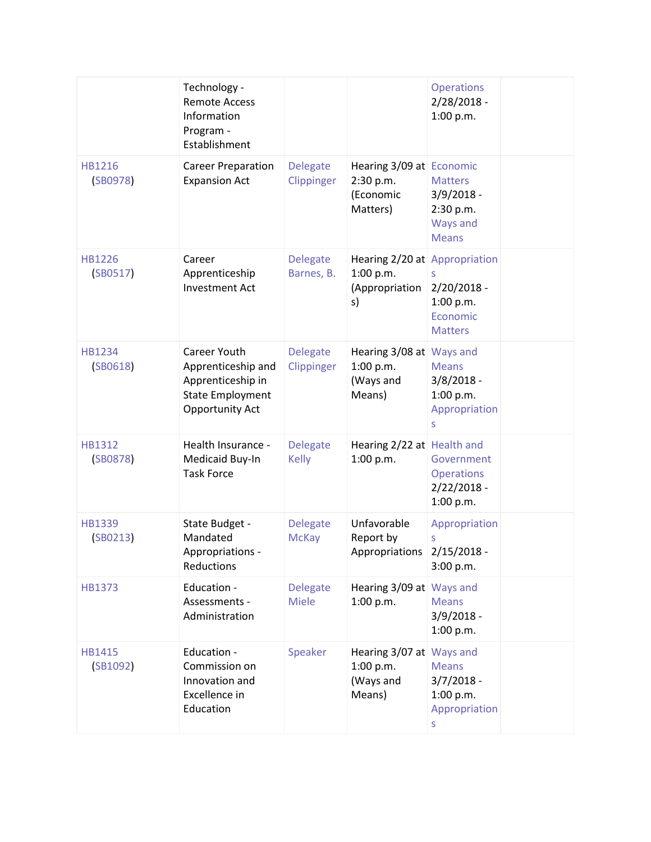|                           | Technology -<br><b>Remote Access</b><br>Information<br>Program -<br>Establishment                            |                                 |                                                                    | <b>Operations</b><br>$2/28/2018 -$<br>1:00 p.m.                         |  |
|---------------------------|--------------------------------------------------------------------------------------------------------------|---------------------------------|--------------------------------------------------------------------|-------------------------------------------------------------------------|--|
| HB1216<br>(SB0978)        | <b>Career Preparation</b><br><b>Expansion Act</b>                                                            | <b>Delegate</b><br>Clippinger   | Hearing 3/09 at Economic<br>2:30 p.m.<br>(Economic<br>Matters)     | <b>Matters</b><br>$3/9/2018 -$<br>2:30 p.m.<br>Ways and<br><b>Means</b> |  |
| <b>HB1226</b><br>(SB0517) | Career<br>Apprenticeship<br><b>Investment Act</b>                                                            | <b>Delegate</b><br>Barnes, B.   | Hearing 2/20 at Appropriation<br>1:00 p.m.<br>(Appropriation<br>s) | $2/20/2018 -$<br>1:00 p.m.<br>Economic<br><b>Matters</b>                |  |
| HB1234<br>(SB0618)        | Career Youth<br>Apprenticeship and<br>Apprenticeship in<br><b>State Employment</b><br><b>Opportunity Act</b> | <b>Delegate</b><br>Clippinger   | Hearing 3/08 at Ways and<br>1:00 p.m.<br>(Ways and<br>Means)       | <b>Means</b><br>$3/8/2018 -$<br>1:00 p.m.<br>Appropriation<br>S         |  |
| HB1312<br>(SB0878)        | Health Insurance -<br>Medicaid Buy-In<br><b>Task Force</b>                                                   | <b>Delegate</b><br><b>Kelly</b> | Hearing 2/22 at Health and<br>1:00 p.m.                            | Government<br><b>Operations</b><br>$2/22/2018 -$<br>1:00 p.m.           |  |
| <b>HB1339</b><br>(SB0213) | State Budget -<br>Mandated<br>Appropriations ·<br>Reductions                                                 | <b>Delegate</b><br><b>McKay</b> | Unfavorable<br>Report by<br>Appropriations 2/15/2018               | Appropriation<br>S<br>3:00 p.m.                                         |  |
| <b>HB1373</b>             | Education -<br>Assessments -<br>Administration                                                               | <b>Delegate</b><br><b>Miele</b> | Hearing 3/09 at Ways and<br>1:00 p.m.                              | <b>Means</b><br>$3/9/2018 -$<br>1:00 p.m.                               |  |
| HB1415<br>(SB1092)        | Education -<br>Commission on<br>Innovation and<br>Excellence in<br>Education                                 | Speaker                         | Hearing 3/07 at Ways and<br>1:00 p.m.<br>(Ways and<br>Means)       | <b>Means</b><br>$3/7/2018 -$<br>1:00 p.m.<br>Appropriation<br>S         |  |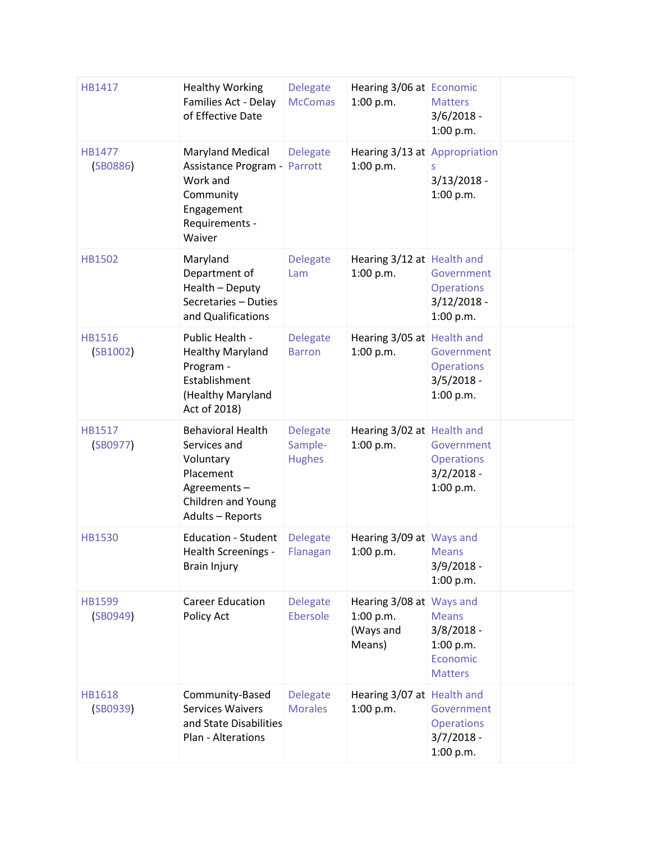| HB1417                    | <b>Healthy Working</b><br>Families Act - Delay<br>of Effective Date                                                         | <b>Delegate</b><br><b>McComas</b>           | Hearing 3/06 at Economic<br>1:00 p.m.                        | <b>Matters</b><br>$3/6/2018 -$<br>1:00 p.m.                             |  |
|---------------------------|-----------------------------------------------------------------------------------------------------------------------------|---------------------------------------------|--------------------------------------------------------------|-------------------------------------------------------------------------|--|
| HB1477<br>(SB0886)        | <b>Maryland Medical</b><br>Assistance Program -<br>Work and<br>Community<br>Engagement<br>Requirements -<br>Waiver          | <b>Delegate</b><br>Parrott                  | Hearing 3/13 at Appropriation<br>1:00 p.m.                   | S<br>$3/13/2018 -$<br>1:00 p.m.                                         |  |
| <b>HB1502</b>             | Maryland<br>Department of<br>Health - Deputy<br>Secretaries - Duties<br>and Qualifications                                  | <b>Delegate</b><br>Lam                      | Hearing 3/12 at Health and<br>1:00 p.m.                      | Government<br><b>Operations</b><br>$3/12/2018 -$<br>1:00 p.m.           |  |
| <b>HB1516</b><br>(SB1002) | Public Health -<br><b>Healthy Maryland</b><br>Program -<br>Establishment<br>(Healthy Maryland<br>Act of 2018)               | <b>Delegate</b><br><b>Barron</b>            | Hearing 3/05 at Health and<br>1:00 p.m.                      | Government<br><b>Operations</b><br>$3/5/2018 -$<br>1:00 p.m.            |  |
| <b>HB1517</b><br>(SB0977) | <b>Behavioral Health</b><br>Services and<br>Voluntary<br>Placement<br>Agreements-<br>Children and Young<br>Adults - Reports | <b>Delegate</b><br>Sample-<br><b>Hughes</b> | Hearing 3/02 at Health and<br>1:00 p.m.                      | Government<br><b>Operations</b><br>$3/2/2018 -$<br>1:00 p.m.            |  |
| <b>HB1530</b>             | <b>Education - Student</b><br>Health Screenings -<br><b>Brain Injury</b>                                                    | <b>Delegate</b><br>Flanagan                 | Hearing 3/09 at Ways and<br>$1:00$ p.m.                      | <b>Means</b><br>$3/9/2018 -$<br>1:00 p.m.                               |  |
| <b>HB1599</b><br>(SB0949) | <b>Career Education</b><br>Policy Act                                                                                       | <b>Delegate</b><br>Ebersole                 | Hearing 3/08 at Ways and<br>1:00 p.m.<br>(Ways and<br>Means) | <b>Means</b><br>$3/8/2018 -$<br>1:00 p.m.<br>Economic<br><b>Matters</b> |  |
| <b>HB1618</b><br>(SB0939) | Community-Based<br><b>Services Waivers</b><br>and State Disabilities<br>Plan - Alterations                                  | <b>Delegate</b><br><b>Morales</b>           | Hearing 3/07 at Health and<br>1:00 p.m.                      | Government<br><b>Operations</b><br>$3/7/2018 -$<br>1:00 p.m.            |  |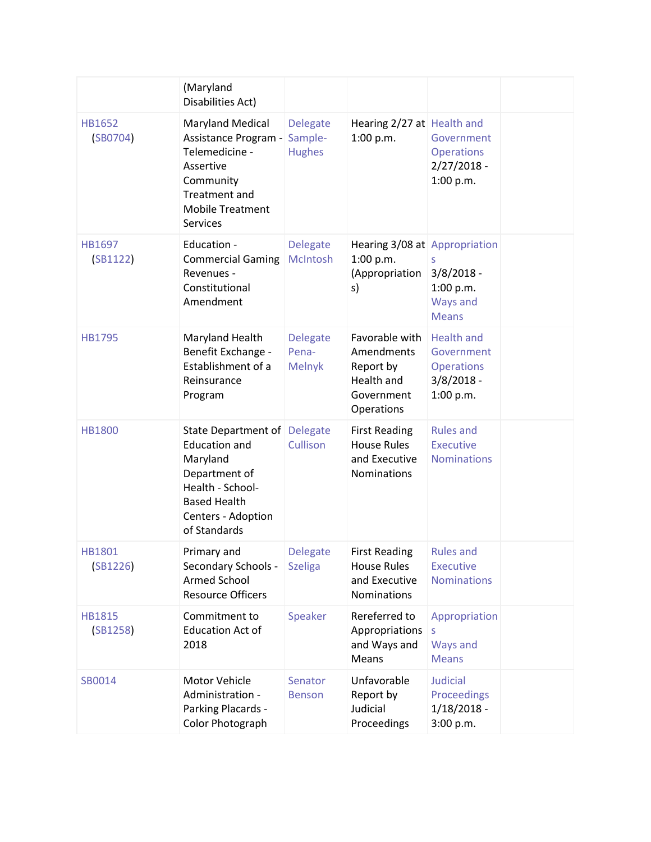|                           | (Maryland<br>Disabilities Act)                                                                                                                                     |                                             |                                                                                     |                                                                                   |  |
|---------------------------|--------------------------------------------------------------------------------------------------------------------------------------------------------------------|---------------------------------------------|-------------------------------------------------------------------------------------|-----------------------------------------------------------------------------------|--|
| <b>HB1652</b><br>(SB0704) | <b>Maryland Medical</b><br>Assistance Program -<br>Telemedicine -<br>Assertive<br>Community<br><b>Treatment and</b><br><b>Mobile Treatment</b><br><b>Services</b>  | <b>Delegate</b><br>Sample-<br><b>Hughes</b> | Hearing 2/27 at Health and<br>1:00 p.m.                                             | Government<br><b>Operations</b><br>$2/27/2018 -$<br>1:00 p.m.                     |  |
| HB1697<br>(SB1122)        | Education -<br><b>Commercial Gaming</b><br>Revenues -<br>Constitutional<br>Amendment                                                                               | <b>Delegate</b><br>McIntosh                 | Hearing 3/08 at Appropriation<br>1:00 p.m.<br>(Appropriation<br>s)                  | $3/8/2018 -$<br>1:00 p.m.<br>Ways and<br><b>Means</b>                             |  |
| <b>HB1795</b>             | Maryland Health<br>Benefit Exchange -<br>Establishment of a<br>Reinsurance<br>Program                                                                              | <b>Delegate</b><br>Pena-<br><b>Melnyk</b>   | Favorable with<br>Amendments<br>Report by<br>Health and<br>Government<br>Operations | <b>Health and</b><br>Government<br><b>Operations</b><br>$3/8/2018 -$<br>1:00 p.m. |  |
| <b>HB1800</b>             | State Department of Delegate<br><b>Education and</b><br>Maryland<br>Department of<br>Health - School-<br><b>Based Health</b><br>Centers - Adoption<br>of Standards | Cullison                                    | <b>First Reading</b><br><b>House Rules</b><br>and Executive<br><b>Nominations</b>   | <b>Rules and</b><br><b>Executive</b><br><b>Nominations</b>                        |  |
| HB1801<br>(SB1226)        | Primary and<br>Secondary Schools -<br><b>Armed School</b><br><b>Resource Officers</b>                                                                              | Delegate<br><b>Szeliga</b>                  | <b>First Reading</b><br><b>House Rules</b><br>and Executive<br>Nominations          | <b>Rules and</b><br><b>Executive</b><br><b>Nominations</b>                        |  |
| <b>HB1815</b><br>(SB1258) | Commitment to<br><b>Education Act of</b><br>2018                                                                                                                   | Speaker                                     | Rereferred to<br>Appropriations<br>and Ways and<br>Means                            | Appropriation<br>S<br>Ways and<br><b>Means</b>                                    |  |
| SB0014                    | Motor Vehicle<br>Administration -<br>Parking Placards -<br>Color Photograph                                                                                        | Senator<br><b>Benson</b>                    | Unfavorable<br>Report by<br>Judicial<br>Proceedings                                 | <b>Judicial</b><br>Proceedings<br>$1/18/2018$ -<br>3:00 p.m.                      |  |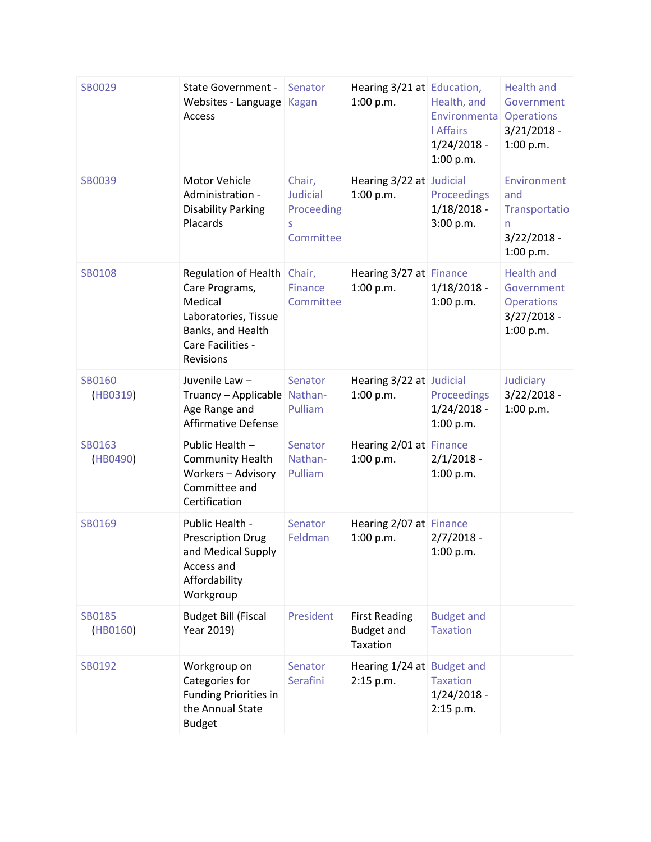| SB0029             | <b>State Government -</b><br>Websites - Language<br><b>Access</b>                                                                | Senator<br><b>Kagan</b>                                   | Hearing 3/21 at Education,<br>1:00 p.m.               | Health, and<br>Environmenta<br><b>I</b> Affairs<br>$1/24/2018 -$<br>1:00 p.m. | <b>Health and</b><br>Government<br><b>Operations</b><br>$3/21/2018 -$<br>1:00 p.m. |
|--------------------|----------------------------------------------------------------------------------------------------------------------------------|-----------------------------------------------------------|-------------------------------------------------------|-------------------------------------------------------------------------------|------------------------------------------------------------------------------------|
| <b>SB0039</b>      | Motor Vehicle<br>Administration -<br><b>Disability Parking</b><br>Placards                                                       | Chair,<br><b>Judicial</b><br>Proceeding<br>S<br>Committee | Hearing 3/22 at Judicial<br>1:00 p.m.                 | Proceedings<br>$1/18/2018 -$<br>3:00 p.m.                                     | Environment<br>and<br>Transportatio<br>n<br>$3/22/2018 -$<br>1:00 p.m.             |
| SB0108             | Regulation of Health<br>Care Programs,<br>Medical<br>Laboratories, Tissue<br>Banks, and Health<br>Care Facilities -<br>Revisions | Chair,<br>Finance<br>Committee                            | Hearing 3/27 at Finance<br>1:00 p.m.                  | $1/18/2018 -$<br>1:00 p.m.                                                    | <b>Health and</b><br>Government<br><b>Operations</b><br>$3/27/2018 -$<br>1:00 p.m. |
| SB0160<br>(HB0319) | Juvenile Law-<br>Truancy - Applicable Nathan-<br>Age Range and<br><b>Affirmative Defense</b>                                     | Senator<br>Pulliam                                        | Hearing 3/22 at Judicial<br>1:00 p.m.                 | Proceedings<br>$1/24/2018 -$<br>1:00 p.m.                                     | Judiciary<br>$3/22/2018 -$<br>1:00 p.m.                                            |
| SB0163<br>(HB0490) | Public Health -<br><b>Community Health</b><br>Workers - Advisory<br>Committee and<br>Certification                               | Senator<br>Nathan-<br>Pulliam                             | Hearing 2/01 at Finance<br>1:00 p.m.                  | $2/1/2018 -$<br>1:00 p.m.                                                     |                                                                                    |
| SB0169             | Public Health -<br><b>Prescription Drug</b><br>and Medical Supply<br>Access and<br>Affordability<br>Workgroup                    | Senator<br>Feldman                                        | Hearing 2/07 at Finance<br>1:00 p.m.                  | $2/7/2018 -$<br>1:00 p.m.                                                     |                                                                                    |
| SB0185<br>(HB0160) | <b>Budget Bill (Fiscal</b><br>Year 2019)                                                                                         | President                                                 | <b>First Reading</b><br><b>Budget and</b><br>Taxation | <b>Budget and</b><br><b>Taxation</b>                                          |                                                                                    |
| SB0192             | Workgroup on<br>Categories for<br>Funding Priorities in<br>the Annual State<br><b>Budget</b>                                     | Senator<br>Serafini                                       | Hearing 1/24 at Budget and<br>2:15 p.m.               | <b>Taxation</b><br>$1/24/2018 -$<br>2:15 p.m.                                 |                                                                                    |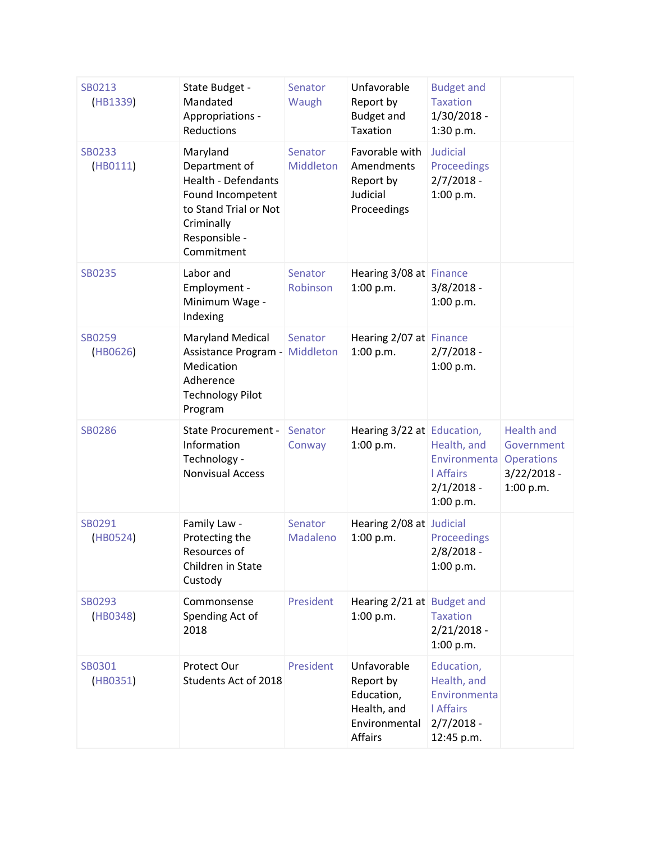| SB0213<br>(HB1339)        | State Budget -<br>Mandated<br>Appropriations -<br>Reductions                                                                                       | Senator<br>Waugh     | Unfavorable<br>Report by<br><b>Budget and</b><br>Taxation                         | <b>Budget and</b><br><b>Taxation</b><br>$1/30/2018 -$<br>1:30 p.m.                          |                                                                                    |
|---------------------------|----------------------------------------------------------------------------------------------------------------------------------------------------|----------------------|-----------------------------------------------------------------------------------|---------------------------------------------------------------------------------------------|------------------------------------------------------------------------------------|
| <b>SB0233</b><br>(HB0111) | Maryland<br>Department of<br><b>Health - Defendants</b><br>Found Incompetent<br>to Stand Trial or Not<br>Criminally<br>Responsible -<br>Commitment | Senator<br>Middleton | Favorable with<br>Amendments<br>Report by<br>Judicial<br>Proceedings              | <b>Judicial</b><br>Proceedings<br>$2/7/2018 -$<br>1:00 p.m.                                 |                                                                                    |
| <b>SB0235</b>             | Labor and<br>Employment -<br>Minimum Wage -<br>Indexing                                                                                            | Senator<br>Robinson  | Hearing 3/08 at Finance<br>1:00 p.m.                                              | $3/8/2018 -$<br>1:00 p.m.                                                                   |                                                                                    |
| <b>SB0259</b><br>(HB0626) | <b>Maryland Medical</b><br>Assistance Program -<br>Medication<br>Adherence<br><b>Technology Pilot</b><br>Program                                   | Senator<br>Middleton | Hearing 2/07 at Finance<br>1:00 p.m.                                              | $2/7/2018 -$<br>1:00 p.m.                                                                   |                                                                                    |
| <b>SB0286</b>             | <b>State Procurement -</b><br>Information<br>Technology -<br><b>Nonvisual Access</b>                                                               | Senator<br>Conway    | Hearing 3/22 at Education,<br>1:00 p.m.                                           | Health, and<br>Environmenta<br><b>I</b> Affairs<br>$2/1/2018 -$<br>1:00 p.m.                | <b>Health and</b><br>Government<br><b>Operations</b><br>$3/22/2018 -$<br>1:00 p.m. |
| SB0291<br>(HB0524)        | Family Law -<br>Protecting the<br>Resources of<br>Children in State<br>Custody                                                                     | Senator<br>Madaleno  | Hearing 2/08 at Judicial<br>1:00 p.m.                                             | <b>Proceedings</b><br>2/8/2018 -<br>1:00 p.m.                                               |                                                                                    |
| SB0293<br>(HB0348)        | Commonsense<br>Spending Act of<br>2018                                                                                                             | President            | Hearing 2/21 at Budget and<br>1:00 p.m.                                           | <b>Taxation</b><br>$2/21/2018 -$<br>1:00 p.m.                                               |                                                                                    |
| SB0301<br>(HB0351)        | Protect Our<br>Students Act of 2018                                                                                                                | President            | Unfavorable<br>Report by<br>Education,<br>Health, and<br>Environmental<br>Affairs | Education,<br>Health, and<br>Environmenta<br><b>I</b> Affairs<br>$2/7/2018 -$<br>12:45 p.m. |                                                                                    |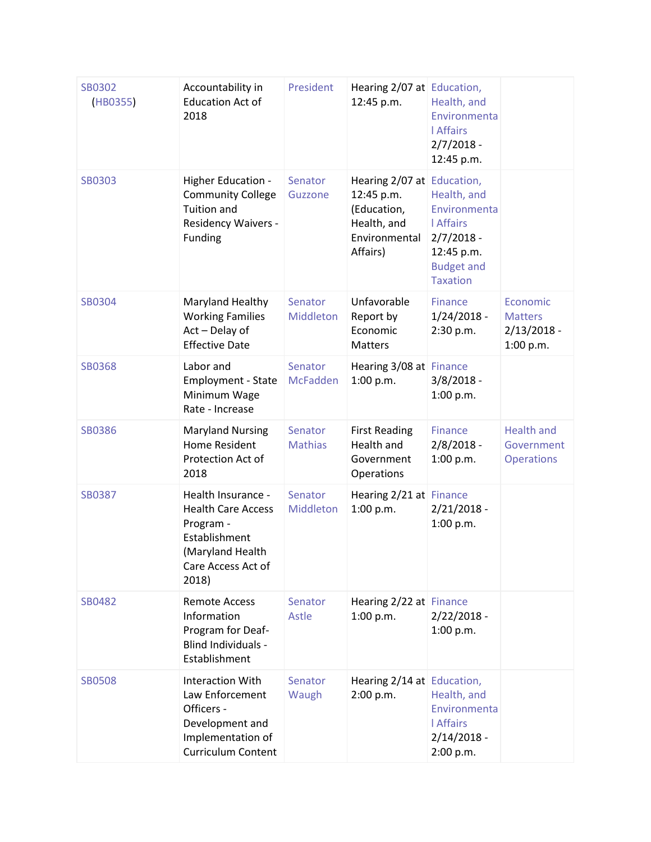| <b>SB0302</b><br>(HB0355) | Accountability in<br><b>Education Act of</b><br>2018                                                                             | President                  | Hearing 2/07 at Education,<br>12:45 p.m.                                                            | Health, and<br>Environmenta<br><b>I</b> Affairs<br>$2/7/2018 -$<br>12:45 p.m.                                        |                                                          |
|---------------------------|----------------------------------------------------------------------------------------------------------------------------------|----------------------------|-----------------------------------------------------------------------------------------------------|----------------------------------------------------------------------------------------------------------------------|----------------------------------------------------------|
| <b>SB0303</b>             | Higher Education -<br><b>Community College</b><br>Tuition and<br><b>Residency Waivers -</b><br>Funding                           | Senator<br>Guzzone         | Hearing 2/07 at Education,<br>12:45 p.m.<br>(Education,<br>Health, and<br>Environmental<br>Affairs) | Health, and<br>Environmenta<br><b>LAffairs</b><br>$2/7/2018 -$<br>12:45 p.m.<br><b>Budget and</b><br><b>Taxation</b> |                                                          |
| SB0304                    | Maryland Healthy<br><b>Working Families</b><br>Act - Delay of<br><b>Effective Date</b>                                           | Senator<br>Middleton       | Unfavorable<br>Report by<br>Economic<br><b>Matters</b>                                              | <b>Finance</b><br>$1/24/2018 -$<br>2:30 p.m.                                                                         | Economic<br><b>Matters</b><br>$2/13/2018 -$<br>1:00 p.m. |
| <b>SB0368</b>             | Labor and<br>Employment - State<br>Minimum Wage<br>Rate - Increase                                                               | Senator<br><b>McFadden</b> | Hearing 3/08 at Finance<br>1:00 p.m.                                                                | $3/8/2018 -$<br>1:00 p.m.                                                                                            |                                                          |
| <b>SB0386</b>             | <b>Maryland Nursing</b><br><b>Home Resident</b><br>Protection Act of<br>2018                                                     | Senator<br><b>Mathias</b>  | <b>First Reading</b><br>Health and<br>Government<br>Operations                                      | <b>Finance</b><br>$2/8/2018 -$<br>1:00 p.m.                                                                          | <b>Health and</b><br>Government<br><b>Operations</b>     |
| <b>SB0387</b>             | Health Insurance -<br><b>Health Care Access</b><br>Program -<br>Establishment<br>(Maryland Health<br>Care Access Act of<br>2018) | Senator<br>Middleton       | Hearing 2/21 at Finance<br>1:00 p.m.                                                                | $2/21/2018 -$<br>1:00 p.m.                                                                                           |                                                          |
| SB0482                    | <b>Remote Access</b><br>Information<br>Program for Deaf-<br>Blind Individuals -<br>Establishment                                 | Senator<br>Astle           | Hearing 2/22 at Finance<br>1:00 p.m.                                                                | $2/22/2018 -$<br>1:00 p.m.                                                                                           |                                                          |
| <b>SB0508</b>             | <b>Interaction With</b><br>Law Enforcement<br>Officers -<br>Development and<br>Implementation of<br><b>Curriculum Content</b>    | Senator<br>Waugh           | Hearing 2/14 at Education,<br>2:00 p.m.                                                             | Health, and<br>Environmenta<br><b>LAffairs</b><br>$2/14/2018 -$<br>2:00 p.m.                                         |                                                          |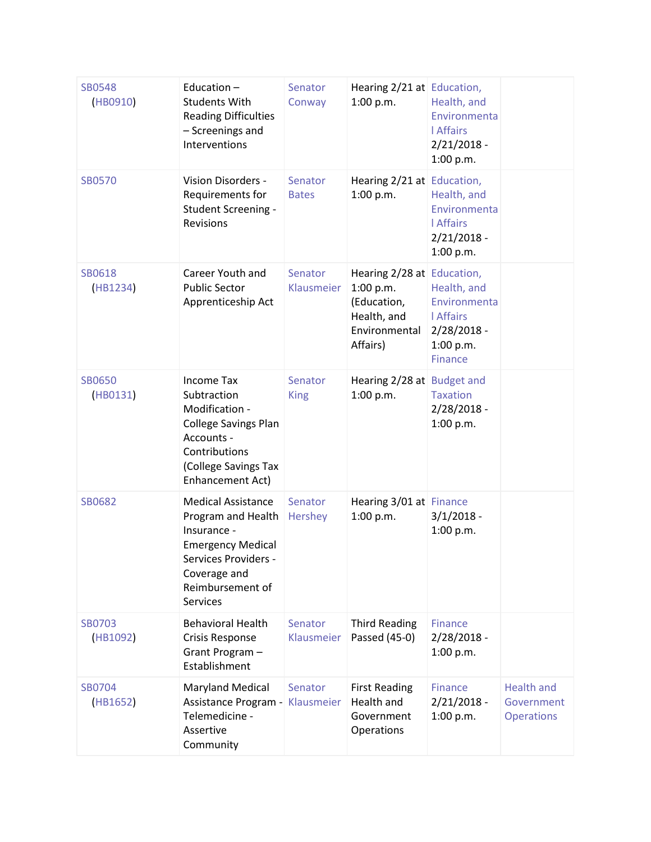| <b>SB0548</b><br>(HB0910) | Education-<br><b>Students With</b><br><b>Reading Difficulties</b><br>- Screenings and<br>Interventions                                                                    | Senator<br>Conway       | Hearing 2/21 at Education,<br>1:00 p.m.                                                            | Health, and<br>Environmenta<br><b>I</b> Affairs<br>$2/21/2018 -$<br>1:00 p.m.                  |                                                      |
|---------------------------|---------------------------------------------------------------------------------------------------------------------------------------------------------------------------|-------------------------|----------------------------------------------------------------------------------------------------|------------------------------------------------------------------------------------------------|------------------------------------------------------|
| <b>SB0570</b>             | Vision Disorders -<br>Requirements for<br>Student Screening -<br>Revisions                                                                                                | Senator<br><b>Bates</b> | Hearing 2/21 at Education,<br>1:00 p.m.                                                            | Health, and<br>Environmenta<br><b>I</b> Affairs<br>$2/21/2018 -$<br>1:00 p.m.                  |                                                      |
| SB0618<br>(HB1234)        | Career Youth and<br><b>Public Sector</b><br>Apprenticeship Act                                                                                                            | Senator<br>Klausmeier   | Hearing 2/28 at Education,<br>1:00 p.m.<br>(Education,<br>Health, and<br>Environmental<br>Affairs) | Health, and<br>Environmenta<br><b>LAffairs</b><br>$2/28/2018 -$<br>1:00 p.m.<br><b>Finance</b> |                                                      |
| <b>SB0650</b><br>(HB0131) | <b>Income Tax</b><br>Subtraction<br>Modification -<br><b>College Savings Plan</b><br>Accounts -<br>Contributions<br>(College Savings Tax<br>Enhancement Act)              | Senator<br><b>King</b>  | Hearing 2/28 at Budget and<br>1:00 p.m.                                                            | <b>Taxation</b><br>2/28/2018 -<br>1:00 p.m.                                                    |                                                      |
| <b>SB0682</b>             | <b>Medical Assistance</b><br>Program and Health<br>Insurance -<br><b>Emergency Medical</b><br>Services Providers -<br>Coverage and<br>Reimbursement of<br><b>Services</b> | Senator<br>Hershey      | Hearing 3/01 at Finance<br>1:00 p.m.                                                               | $3/1/2018 -$<br>1:00 p.m.                                                                      |                                                      |
| <b>SB0703</b><br>(HB1092) | <b>Behavioral Health</b><br><b>Crisis Response</b><br>Grant Program-<br>Establishment                                                                                     | Senator<br>Klausmeier   | <b>Third Reading</b><br>Passed (45-0)                                                              | <b>Finance</b><br>$2/28/2018 -$<br>1:00 p.m.                                                   |                                                      |
| SB0704<br>(HB1652)        | <b>Maryland Medical</b><br>Assistance Program -<br>Telemedicine -<br>Assertive<br>Community                                                                               | Senator<br>Klausmeier   | <b>First Reading</b><br>Health and<br>Government<br>Operations                                     | <b>Finance</b><br>$2/21/2018 -$<br>1:00 p.m.                                                   | <b>Health and</b><br>Government<br><b>Operations</b> |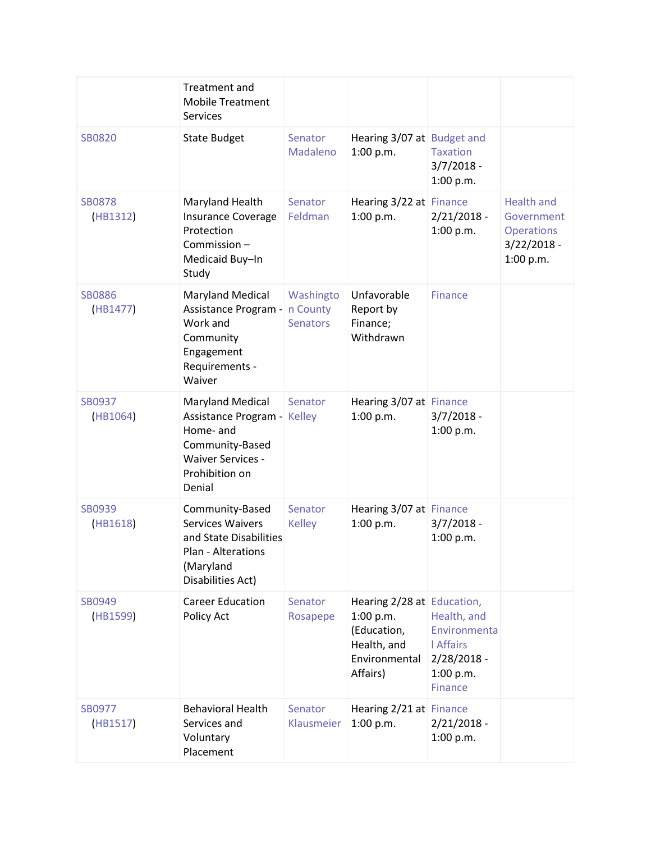|                           | Treatment and<br><b>Mobile Treatment</b><br><b>Services</b>                                                                             |                                          |                                                                                                    |                                                                                                 |                                                                                    |
|---------------------------|-----------------------------------------------------------------------------------------------------------------------------------------|------------------------------------------|----------------------------------------------------------------------------------------------------|-------------------------------------------------------------------------------------------------|------------------------------------------------------------------------------------|
| <b>SB0820</b>             | <b>State Budget</b>                                                                                                                     | Senator<br>Madaleno                      | Hearing 3/07 at Budget and<br>1:00 p.m.                                                            | <b>Taxation</b><br>$3/7/2018 -$<br>1:00 p.m.                                                    |                                                                                    |
| <b>SB0878</b><br>(HB1312) | Maryland Health<br><b>Insurance Coverage</b><br>Protection<br>Commission-<br>Medicaid Buy-In<br>Study                                   | Senator<br>Feldman                       | Hearing 3/22 at Finance<br>1:00 p.m.                                                               | $2/21/2018 -$<br>1:00 p.m.                                                                      | <b>Health and</b><br>Government<br><b>Operations</b><br>$3/22/2018 -$<br>1:00 p.m. |
| <b>SB0886</b><br>(HB1477) | <b>Maryland Medical</b><br>Assistance Program -<br>Work and<br>Community<br>Engagement<br>Requirements -<br>Waiver                      | Washingto<br>n County<br><b>Senators</b> | Unfavorable<br>Report by<br>Finance;<br>Withdrawn                                                  | <b>Finance</b>                                                                                  |                                                                                    |
| SB0937<br>(HB1064)        | <b>Maryland Medical</b><br>Assistance Program -<br>Home- and<br>Community-Based<br><b>Waiver Services -</b><br>Prohibition on<br>Denial | Senator<br><b>Kelley</b>                 | Hearing 3/07 at Finance<br>1:00 p.m.                                                               | $3/7/2018 -$<br>1:00 p.m.                                                                       |                                                                                    |
| SB0939<br>(HB1618)        | Community-Based<br><b>Services Waivers</b><br>and State Disabilities<br>Plan - Alterations<br>(Maryland<br>Disabilities Act)            | Senator<br><b>Kelley</b>                 | Hearing 3/07 at Finance<br>1:00 p.m.                                                               | $3/7/2018 -$<br>1:00 p.m.                                                                       |                                                                                    |
| SB0949<br>(HB1599)        | <b>Career Education</b><br>Policy Act                                                                                                   | Senator<br>Rosapepe                      | Hearing 2/28 at Education,<br>1:00 p.m.<br>(Education,<br>Health, and<br>Environmental<br>Affairs) | Health, and<br>Environmenta<br><b>I</b> Affairs<br>$2/28/2018 -$<br>1:00 p.m.<br><b>Finance</b> |                                                                                    |
| SB0977<br>(HB1517)        | <b>Behavioral Health</b><br>Services and<br>Voluntary<br>Placement                                                                      | Senator<br>Klausmeier                    | Hearing 2/21 at Finance<br>1:00 p.m.                                                               | $2/21/2018 -$<br>1:00 p.m.                                                                      |                                                                                    |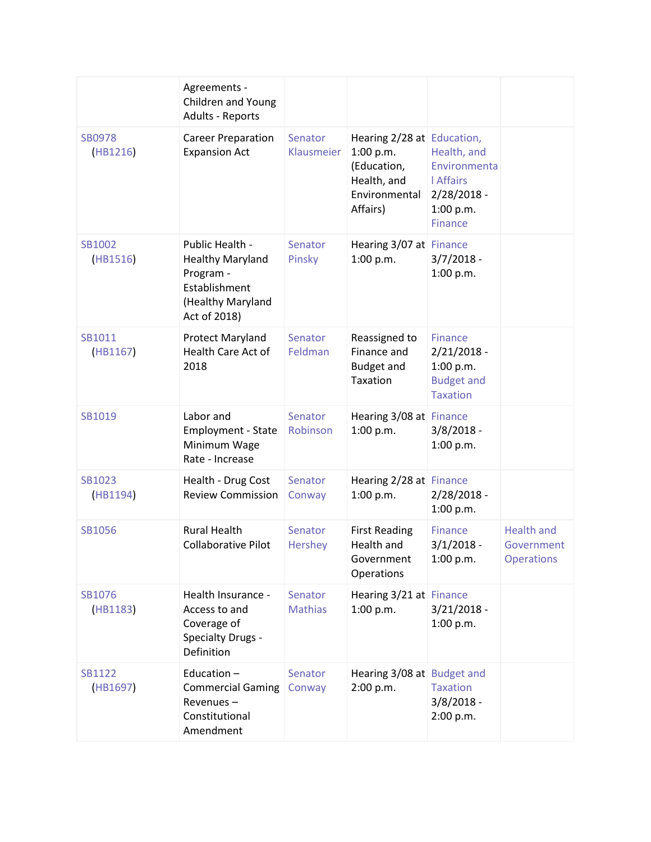|                           | Agreements -<br>Children and Young<br><b>Adults - Reports</b>                                                 |                           |                                                                                                    |                                                                                                |                                                      |
|---------------------------|---------------------------------------------------------------------------------------------------------------|---------------------------|----------------------------------------------------------------------------------------------------|------------------------------------------------------------------------------------------------|------------------------------------------------------|
| <b>SB0978</b><br>(HB1216) | <b>Career Preparation</b><br><b>Expansion Act</b>                                                             | Senator<br>Klausmeier     | Hearing 2/28 at Education,<br>1:00 p.m.<br>(Education,<br>Health, and<br>Environmental<br>Affairs) | Health, and<br>Environmenta<br><b>LAffairs</b><br>$2/28/2018 -$<br>1:00 p.m.<br><b>Finance</b> |                                                      |
| SB1002<br>(HB1516)        | Public Health -<br><b>Healthy Maryland</b><br>Program -<br>Establishment<br>(Healthy Maryland<br>Act of 2018) | Senator<br>Pinsky         | Hearing 3/07 at Finance<br>1:00 p.m.                                                               | $3/7/2018 -$<br>1:00 p.m.                                                                      |                                                      |
| SB1011<br>(HB1167)        | <b>Protect Maryland</b><br><b>Health Care Act of</b><br>2018                                                  | Senator<br>Feldman        | Reassigned to<br>Finance and<br><b>Budget and</b><br><b>Taxation</b>                               | <b>Finance</b><br>$2/21/2018 -$<br>1:00 p.m.<br><b>Budget and</b><br><b>Taxation</b>           |                                                      |
| SB1019                    | Labor and<br><b>Employment - State</b><br>Minimum Wage<br>Rate - Increase                                     | Senator<br>Robinson       | Hearing 3/08 at Finance<br>1:00 p.m.                                                               | $3/8/2018 -$<br>1:00 p.m.                                                                      |                                                      |
| SB1023<br>(HB1194)        | Health - Drug Cost<br><b>Review Commission</b>                                                                | Senator<br>Conway         | Hearing 2/28 at Finance<br>1:00 p.m.                                                               | $2/28/2018 -$<br>1:00 p.m.                                                                     |                                                      |
| SB1056                    | <b>Rural Health</b><br><b>Collaborative Pilot</b>                                                             | Senator<br>Hershey        | <b>First Reading</b><br>Health and<br>Government<br>Operations                                     | <b>Finance</b><br>$3/1/2018 -$<br>1:00 p.m.                                                    | <b>Health and</b><br>Government<br><b>Operations</b> |
| SB1076<br>(HB1183)        | Health Insurance -<br>Access to and<br>Coverage of<br><b>Specialty Drugs -</b><br>Definition                  | Senator<br><b>Mathias</b> | Hearing 3/21 at Finance<br>1:00 p.m.                                                               | $3/21/2018 -$<br>1:00 p.m.                                                                     |                                                      |
| SB1122<br>(HB1697)        | Education-<br><b>Commercial Gaming</b><br>Revenues-<br>Constitutional<br>Amendment                            | Senator<br>Conway         | Hearing 3/08 at Budget and<br>2:00 p.m.                                                            | <b>Taxation</b><br>$3/8/2018 -$<br>2:00 p.m.                                                   |                                                      |